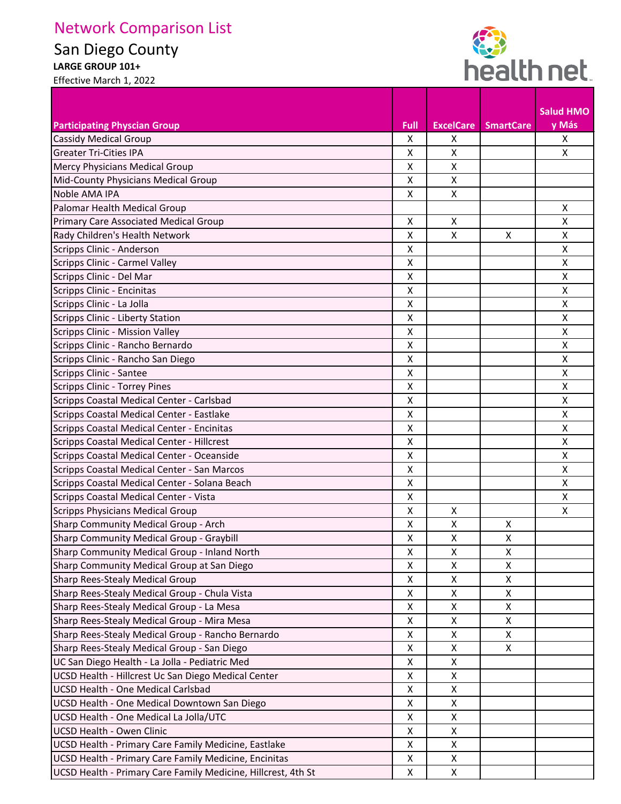## Network Comparison List

San Diego County

**LARGE GROUP 101+** 



Effective March 1, 2022

|                                                               |                    |                  |                  | <b>Salud HMO</b>          |
|---------------------------------------------------------------|--------------------|------------------|------------------|---------------------------|
| <b>Participating Physcian Group</b>                           | <b>Full</b>        | <b>ExcelCare</b> | <b>SmartCare</b> | y Más                     |
| <b>Cassidy Medical Group</b>                                  | X                  | X                |                  | X                         |
| <b>Greater Tri-Cities IPA</b>                                 | x                  | X                |                  | X                         |
| Mercy Physicians Medical Group                                | X                  | X                |                  |                           |
| Mid-County Physicians Medical Group                           | Χ                  | X                |                  |                           |
| Noble AMA IPA                                                 | X                  | X                |                  |                           |
| Palomar Health Medical Group                                  |                    |                  |                  | X                         |
| Primary Care Associated Medical Group                         | X                  | X                |                  | $\pmb{\times}$            |
| Rady Children's Health Network                                | X                  | X                | X                | X                         |
| Scripps Clinic - Anderson                                     | X                  |                  |                  | X                         |
| Scripps Clinic - Carmel Valley                                | X                  |                  |                  | X                         |
| Scripps Clinic - Del Mar                                      | X                  |                  |                  | $\boldsymbol{\mathsf{X}}$ |
| Scripps Clinic - Encinitas                                    | X                  |                  |                  | X                         |
| Scripps Clinic - La Jolla                                     | X                  |                  |                  | X                         |
| Scripps Clinic - Liberty Station                              | Χ                  |                  |                  | X                         |
| Scripps Clinic - Mission Valley                               | Χ                  |                  |                  | X                         |
| Scripps Clinic - Rancho Bernardo                              | Χ                  |                  |                  | X                         |
| Scripps Clinic - Rancho San Diego                             | X                  |                  |                  | $\mathsf{X}$              |
| Scripps Clinic - Santee                                       | X                  |                  |                  | X                         |
| <b>Scripps Clinic - Torrey Pines</b>                          | X                  |                  |                  | X                         |
| Scripps Coastal Medical Center - Carlsbad                     | X                  |                  |                  | X                         |
| Scripps Coastal Medical Center - Eastlake                     | X                  |                  |                  | X                         |
| Scripps Coastal Medical Center - Encinitas                    | Χ                  |                  |                  | X                         |
| Scripps Coastal Medical Center - Hillcrest                    | Χ                  |                  |                  | X                         |
| Scripps Coastal Medical Center - Oceanside                    | X                  |                  |                  | X                         |
| Scripps Coastal Medical Center - San Marcos                   | Χ                  |                  |                  | X                         |
| Scripps Coastal Medical Center - Solana Beach                 | Χ                  |                  |                  | X                         |
| Scripps Coastal Medical Center - Vista                        | Χ                  |                  |                  | X                         |
| Scripps Physicians Medical Group                              | Χ                  | X                |                  | X                         |
| Sharp Community Medical Group - Arch                          | X                  | X                | X                |                           |
| Sharp Community Medical Group - Graybill                      | $\pmb{\mathsf{X}}$ | X                | X                |                           |
| Sharp Community Medical Group - Inland North                  | x                  | X                | x                |                           |
| Sharp Community Medical Group at San Diego                    | X                  | X                | $\mathsf{X}$     |                           |
| Sharp Rees-Stealy Medical Group                               | $\pmb{\mathsf{X}}$ | X                | X                |                           |
| Sharp Rees-Stealy Medical Group - Chula Vista                 | X                  | X                | X                |                           |
| Sharp Rees-Stealy Medical Group - La Mesa                     | X                  | X                | X                |                           |
| Sharp Rees-Stealy Medical Group - Mira Mesa                   | X                  | X                | X                |                           |
| Sharp Rees-Stealy Medical Group - Rancho Bernardo             | X                  | X                | X                |                           |
| Sharp Rees-Stealy Medical Group - San Diego                   | X                  | X                | X                |                           |
| UC San Diego Health - La Jolla - Pediatric Med                | X                  | X                |                  |                           |
| UCSD Health - Hillcrest Uc San Diego Medical Center           | X                  | X                |                  |                           |
| <b>UCSD Health - One Medical Carlsbad</b>                     | X                  | X                |                  |                           |
| UCSD Health - One Medical Downtown San Diego                  | X                  | X                |                  |                           |
| UCSD Health - One Medical La Jolla/UTC                        | X                  | X                |                  |                           |
| <b>UCSD Health - Owen Clinic</b>                              | X                  | X                |                  |                           |
| UCSD Health - Primary Care Family Medicine, Eastlake          | X                  | X                |                  |                           |
| UCSD Health - Primary Care Family Medicine, Encinitas         | X                  | X                |                  |                           |
| UCSD Health - Primary Care Family Medicine, Hillcrest, 4th St | X                  | X                |                  |                           |